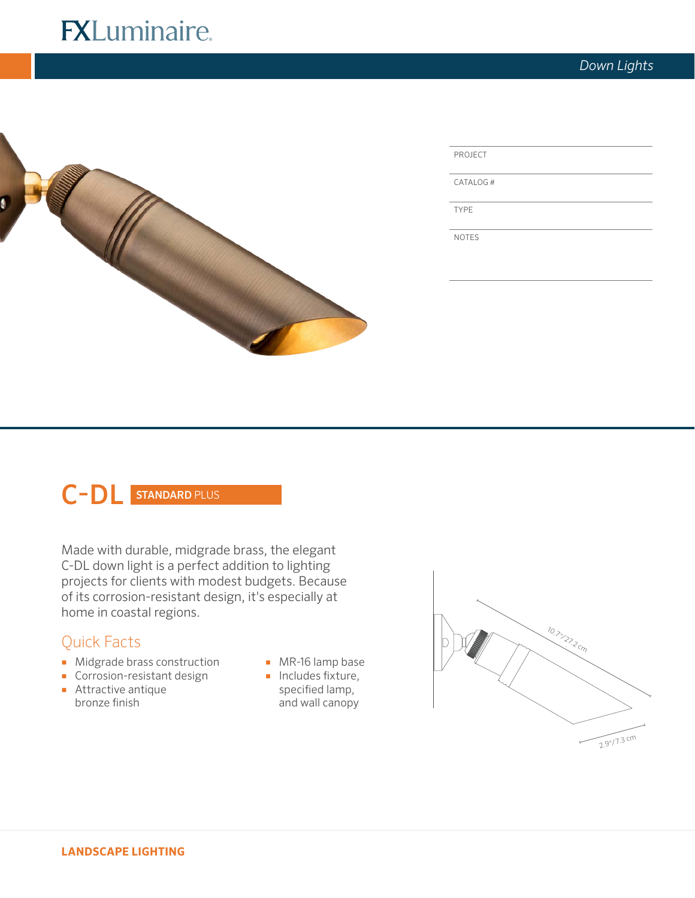# **FXLuminaire.**



| PROJECT |  |
|---------|--|
|         |  |

CATALOG #

TYPE

NOTES

# C-DL STANDARD PLUS

Made with durable, midgrade brass, the elegant C-DL down light is a perfect addition to lighting projects for clients with modest budgets. Because of its corrosion-resistant design, it's especially at home in coastal regions.

# Quick Facts

- Midgrade brass construction
- Corrosion-resistant design
- Attractive antique bronze finish
- MR-16 lamp base ■ Includes fixture,
- specified lamp, and wall canopy

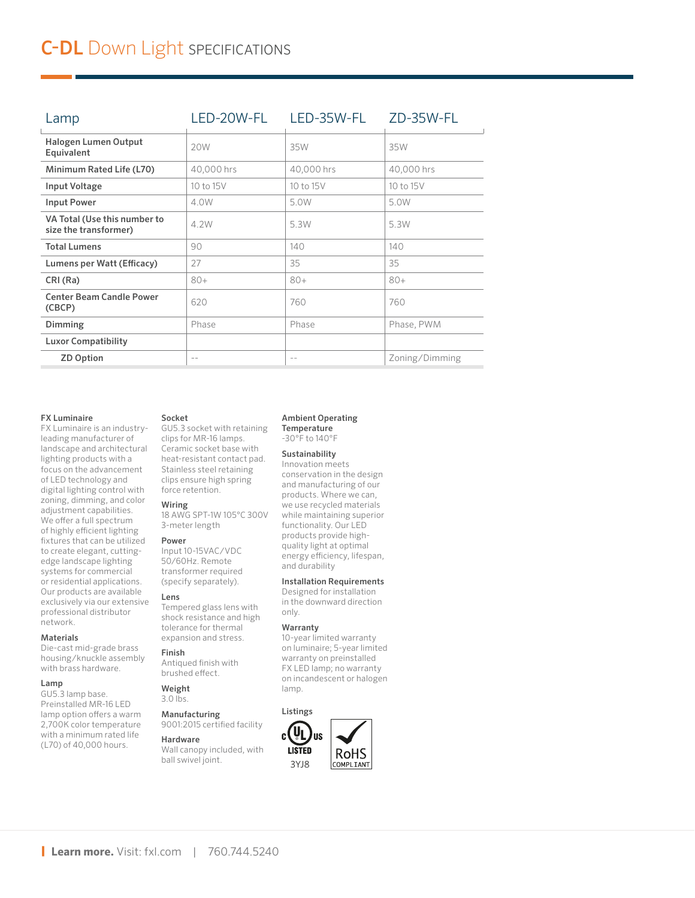| Lamp                                                  | LED-20W-FL | LED-35W-FL | ZD-35W-FL      |
|-------------------------------------------------------|------------|------------|----------------|
| Halogen Lumen Output<br>Equivalent                    | 20W        | 35W        | 35W            |
| Minimum Rated Life (L70)                              | 40,000 hrs | 40,000 hrs | 40,000 hrs     |
| Input Voltage                                         | 10 to 15V  | 10 to 15V  | 10 to 15V      |
| <b>Input Power</b>                                    | 4.0W       | 5.0W       | 5.0W           |
| VA Total (Use this number to<br>size the transformer) | 4.2W       | 5.3W       | 5.3W           |
| <b>Total Lumens</b>                                   | 90         | 140        | 140            |
| Lumens per Watt (Efficacy)                            | 27         | 35         | 35             |
| CRI (Ra)                                              | $80+$      | $80+$      | $80+$          |
| <b>Center Beam Candle Power</b><br>(CBCP)             | 620        | 760        | 760            |
| Dimming                                               | Phase      | Phase      | Phase, PWM     |
| <b>Luxor Compatibility</b>                            |            |            |                |
| <b>ZD Option</b>                                      | $- -$      | $\sim$ $-$ | Zoning/Dimming |

### FX Luminaire

FX Luminaire is an industryleading manufacturer of landscape and architectural lighting products with a focus on the advancement of LED technology and digital lighting control with zoning, dimming, and color adjustment capabilities. We offer a full spectrum of highly efficient lighting fixtures that can be utilized to create elegant, cuttingedge landscape lighting systems for commercial or residential applications. Our products are available exclusively via our extensive professional distributor network.

### Materials

Die-cast mid-grade brass housing/knuckle assembly with brass hardware.

# l amp

GU5.3 lamp base. Preinstalled MR-16 LED lamp option offers a warm 2,700K color temperature with a minimum rated life (L70) of 40,000 hours.

# Socket

GU5.3 socket with retaining clips for MR-16 lamps. Ceramic socket base with heat-resistant contact pad. Stainless steel retaining clips ensure high spring force retention.

# Wiring

18 AWG SPT-1W 105°C 300V 3-meter length

### Power

Input 10-15VAC/VDC 50/60Hz. Remote transformer required (specify separately).

# Lens

Tempered glass lens with shock resistance and high tolerance for thermal expansion and stress.

# Finish

Antiqued finish with brushed effect.

#### Weight  $3.0$  lbs.

Manufacturing 9001:2015 certified facility

# Hardware

Wall canopy included, with ball swivel joint.

#### Ambient Operating **Temperature**

-30°F to 140°F

# Sustainability

Innovation meets conservation in the design and manufacturing of our products. Where we can, we use recycled materials while maintaining superior functionality. Our LED products provide highquality light at optimal energy efficiency, lifespan, and durability

# Installation Requirements

Designed for installation in the downward direction only.

# Warranty

10-year limited warranty on luminaire; 5-year limited warranty on preinstalled FX LED lamp; no warranty on incandescent or halogen lamp.

# Listings

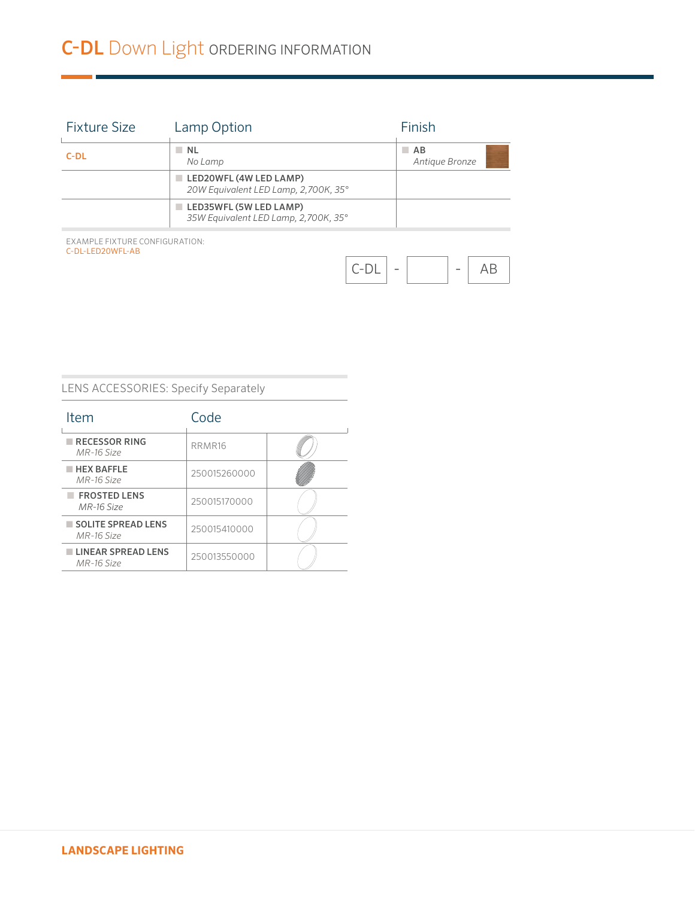# C-DL Down Light ORDERING INFORMATION

| NL N<br>No Lamp                                                               | $A$ B<br>Antique Bronze |
|-------------------------------------------------------------------------------|-------------------------|
| $\blacksquare$ LED20WFL (4W LED LAMP)<br>20W Equivalent LED Lamp, 2,700K, 35° |                         |
| LED35WFL (5W LED LAMP)<br>35W Equivalent LED Lamp, 2,700K, 35°                |                         |
|                                                                               |                         |

EXAMPLE FIXTURE CONFIGURATION: C-DL-LED20WFL-AB



# LENS ACCESSORIES: Specify Separately

| Item                                       | Code         |  |
|--------------------------------------------|--------------|--|
| $\blacksquare$ RECESSOR RING<br>MR-16 Size | RRMR16       |  |
| $HEX$ BAFFLE<br>MR-16 Size                 | 250015260000 |  |
| <b>FROSTED LENS</b><br>MR-16 Size          | 250015170000 |  |
| SOLITE SPREAD LENS<br>MR-16 Size           | 250015410000 |  |
| <b>LINEAR SPREAD LENS</b><br>MR-16 Size    | 250013550000 |  |